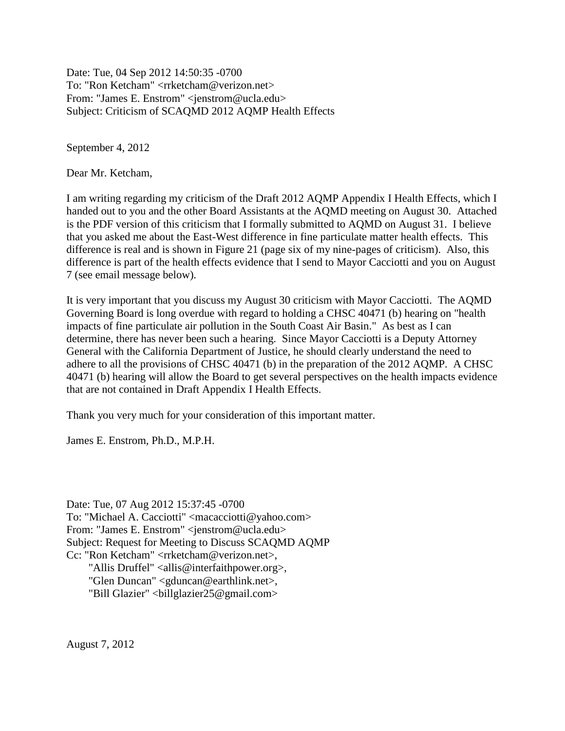Date: Tue, 04 Sep 2012 14:50:35 -0700 To: "Ron Ketcham" <rrketcham@verizon.net> From: "James E. Enstrom" <jenstrom@ucla.edu> Subject: Criticism of SCAQMD 2012 AQMP Health Effects

September 4, 2012

Dear Mr. Ketcham,

I am writing regarding my criticism of the Draft 2012 AQMP Appendix I Health Effects, which I handed out to you and the other Board Assistants at the AQMD meeting on August 30. Attached is the PDF version of this criticism that I formally submitted to AQMD on August 31. I believe that you asked me about the East-West difference in fine particulate matter health effects. This difference is real and is shown in Figure 21 (page six of my nine-pages of criticism). Also, this difference is part of the health effects evidence that I send to Mayor Cacciotti and you on August 7 (see email message below).

It is very important that you discuss my August 30 criticism with Mayor Cacciotti. The AQMD Governing Board is long overdue with regard to holding a CHSC 40471 (b) hearing on "health impacts of fine particulate air pollution in the South Coast Air Basin." As best as I can determine, there has never been such a hearing. Since Mayor Cacciotti is a Deputy Attorney General with the California Department of Justice, he should clearly understand the need to adhere to all the provisions of CHSC 40471 (b) in the preparation of the 2012 AQMP. A CHSC 40471 (b) hearing will allow the Board to get several perspectives on the health impacts evidence that are not contained in Draft Appendix I Health Effects.

Thank you very much for your consideration of this important matter.

James E. Enstrom, Ph.D., M.P.H.

Date: Tue, 07 Aug 2012 15:37:45 -0700 To: "Michael A. Cacciotti" <macacciotti@yahoo.com> From: "James E. Enstrom" <jenstrom@ucla.edu> Subject: Request for Meeting to Discuss SCAQMD AQMP Cc: "Ron Ketcham" <rrketcham@verizon.net>, "Allis Druffel" <allis@interfaithpower.org>, "Glen Duncan" <gduncan@earthlink.net>, "Bill Glazier" <billglazier25@gmail.com>

August 7, 2012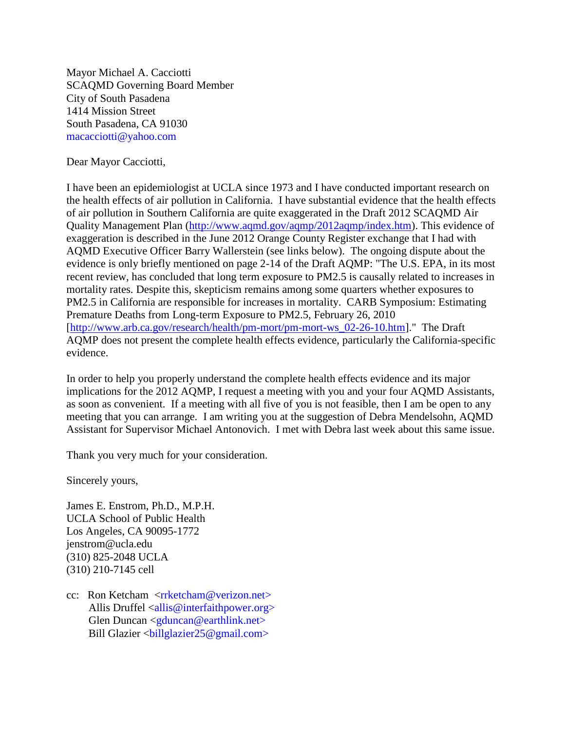Mayor Michael A. Cacciotti SCAQMD Governing Board Member City of South Pasadena 1414 Mission Street South Pasadena, CA 91030 macacciotti@yahoo.com

Dear Mayor Cacciotti,

I have been an epidemiologist at UCLA since 1973 and I have conducted important research on the health effects of air pollution in California. I have substantial evidence that the health effects of air pollution in Southern California are quite exaggerated in the Draft 2012 SCAQMD Air Quality Management Plan [\(http://www.aqmd.gov/aqmp/2012aqmp/index.htm\)](http://www.aqmd.gov/aqmp/2012aqmp/index.htm). This evidence of exaggeration is described in the June 2012 Orange County Register exchange that I had with AQMD Executive Officer Barry Wallerstein (see links below). The ongoing dispute about the evidence is only briefly mentioned on page 2-14 of the Draft AQMP: "The U.S. EPA, in its most recent review, has concluded that long term exposure to PM2.5 is causally related to increases in mortality rates. Despite this, skepticism remains among some quarters whether exposures to PM2.5 in California are responsible for increases in mortality. CARB Symposium: Estimating Premature Deaths from Long-term Exposure to PM2.5, February 26, 2010 [\[http://www.arb.ca.gov/research/health/pm-mort/pm-mort-ws\\_02-26-10.htm\]](http://www.arb.ca.gov/research/health/pm-mort/pm-mort-ws_02-26-10.htm)." The Draft AQMP does not present the complete health effects evidence, particularly the California-specific evidence.

In order to help you properly understand the complete health effects evidence and its major implications for the 2012 AQMP, I request a meeting with you and your four AQMD Assistants, as soon as convenient. If a meeting with all five of you is not feasible, then I am be open to any meeting that you can arrange. I am writing you at the suggestion of Debra Mendelsohn, AQMD Assistant for Supervisor Michael Antonovich. I met with Debra last week about this same issue.

Thank you very much for your consideration.

Sincerely yours,

James E. Enstrom, Ph.D., M.P.H. UCLA School of Public Health Los Angeles, CA 90095-1772 jenstrom@ucla.edu (310) 825-2048 UCLA (310) 210-7145 cell

cc: Ron Ketcham <*rrketcham@verizon.net*> Allis Druffel <allis@interfaithpower.org> Glen Duncan  $\leq$ gduncan@earthlink.net $>$ Bill Glazier <billglazier25@gmail.com>